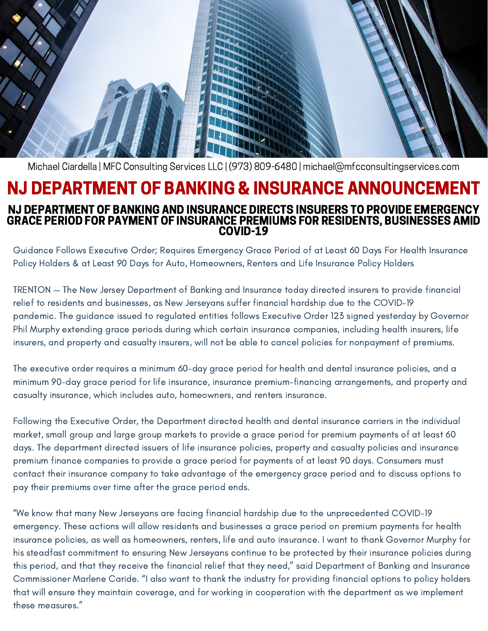

Michael Ciardella | MFC Consulting Services LLC | (973) 809-6480 | michael@mfcconsultingservices.com

## NJ DEPARTMENT OF BANKING & INSURANCE ANNOUNCEMENT NJ DEPARTMENT OF BANKING AND INSURANCE DIRECTS INSURERS TO PROVIDE EMERGENCY GRACE PERIOD FOR PAYMENT OF INSURANCE PREMIUMS FOR RESIDENTS, BUSINESSES AMID COVID-19

Guidance Follows Executive Order; Requires Emergency Grace Period of at Least 60 Days For Health Insurance Policy Holders & at Least 90 Days for Auto, Homeowners, Renters and Life Insurance Policy Holders

TRENTON — The New Jersey Department of Banking and Insurance today directed insurers to provide financial relief to residents and businesses, as New Jerseyans suffer financial hardship due to the COVID-19 pandemic. The guidance issued to regulated entities follows Executive Order 123 signed yesterday by Governor Phil Murphy extending grace periods during which certain insurance companies, including health insurers, life insurers, and property and casualty insurers, will not be able to cancel policies for nonpayment of premiums.

The executive order requires a minimum 60-day grace period for health and dental insurance policies, and a minimum 90-day grace period for life insurance, insurance premium-financing arrangements, and property and casualty insurance, which includes auto, homeowners, and renters insurance.

Following the Executive Order, the Department directed health and dental insurance carriers in the individual market, small group and large group markets to provide a grace period for premium payments of at least 60 days. The department directed issuers of life insurance policies, property and casualty policies and insurance premium finance companies to provide a grace period for payments of at least 90 days. Consumers must contact their insurance company to take advantage of the emergency grace period and to discuss options to pay their premiums over time after the grace period ends.

"We know that many New Jerseyans are facing financial hardship due to the unprecedented COVID-19 emergency. These actions will allow residents and businesses a grace period on premium payments for health insurance policies, as well as homeowners, renters, life and auto insurance. I want to thank Governor Murphy for his steadfast commitment to ensuring New Jerseyans continue to be protected by their insurance policies during this period, and that they receive the financial relief that they need," said Department of Banking and Insurance Commissioner Marlene Caride. "I also want to thank the industry for providing financial options to policy holders that will ensure they maintain coverage, and for working in cooperation with the department as we implement these measures."